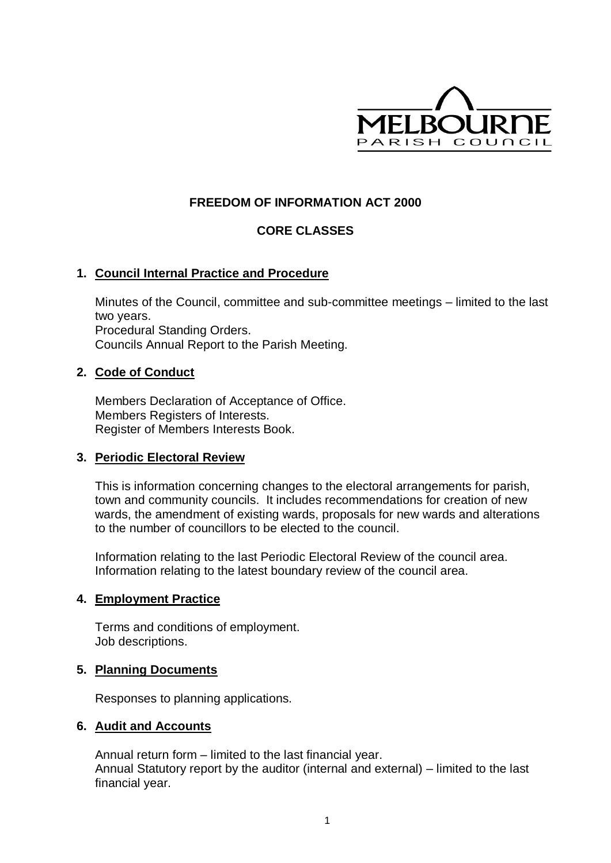

# **FREEDOM OF INFORMATION ACT 2000**

# **CORE CLASSES**

# **1. Council Internal Practice and Procedure**

Minutes of the Council, committee and sub-committee meetings – limited to the last two years. Procedural Standing Orders. Councils Annual Report to the Parish Meeting.

### **2. Code of Conduct**

Members Declaration of Acceptance of Office. Members Registers of Interests. Register of Members Interests Book.

### **3. Periodic Electoral Review**

This is information concerning changes to the electoral arrangements for parish, town and community councils. It includes recommendations for creation of new wards, the amendment of existing wards, proposals for new wards and alterations to the number of councillors to be elected to the council.

Information relating to the last Periodic Electoral Review of the council area. Information relating to the latest boundary review of the council area.

### **4. Employment Practice**

Terms and conditions of employment. Job descriptions.

### **5. Planning Documents**

Responses to planning applications.

### **6. Audit and Accounts**

Annual return form – limited to the last financial year. Annual Statutory report by the auditor (internal and external) – limited to the last financial year.